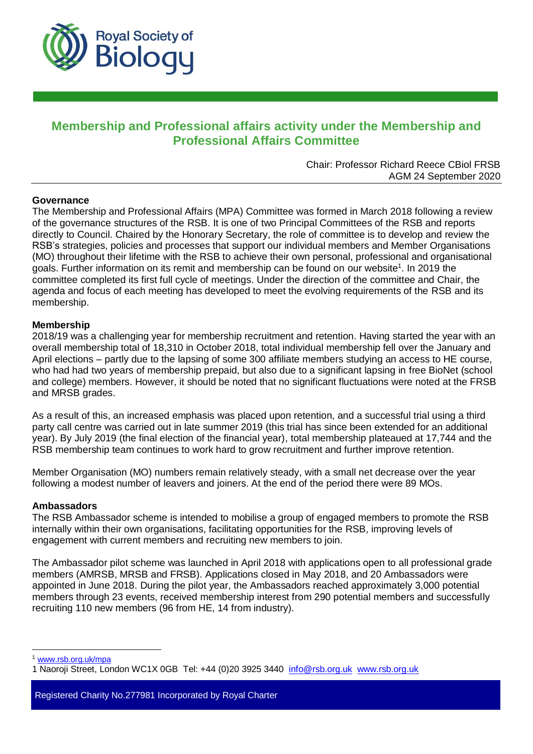

# **Membership and Professional affairs activity under the Membership and Professional Affairs Committee**

Chair: Professor Richard Reece CBiol FRSB AGM 24 September 2020

### **Governance**

The Membership and Professional Affairs (MPA) Committee was formed in March 2018 following a review of the governance structures of the RSB. It is one of two Principal Committees of the RSB and reports directly to Council. Chaired by the Honorary Secretary, the role of committee is to develop and review the RSB's strategies, policies and processes that support our individual members and Member Organisations (MO) throughout their lifetime with the RSB to achieve their own personal, professional and organisational goals. Further information on its remit and membership can be found on our website<sup>1</sup>. In 2019 the committee completed its first full cycle of meetings. Under the direction of the committee and Chair, the agenda and focus of each meeting has developed to meet the evolving requirements of the RSB and its membership.

### **Membership**

2018/19 was a challenging year for membership recruitment and retention. Having started the year with an overall membership total of 18,310 in October 2018, total individual membership fell over the January and April elections – partly due to the lapsing of some 300 affiliate members studying an access to HE course, who had had two years of membership prepaid, but also due to a significant lapsing in free BioNet (school and college) members. However, it should be noted that no significant fluctuations were noted at the FRSB and MRSB grades.

As a result of this, an increased emphasis was placed upon retention, and a successful trial using a third party call centre was carried out in late summer 2019 (this trial has since been extended for an additional year). By July 2019 (the final election of the financial year), total membership plateaued at 17,744 and the RSB membership team continues to work hard to grow recruitment and further improve retention.

Member Organisation (MO) numbers remain relatively steady, with a small net decrease over the year following a modest number of leavers and joiners. At the end of the period there were 89 MOs.

#### **Ambassadors**

The RSB Ambassador scheme is intended to mobilise a group of engaged members to promote the RSB internally within their own organisations, facilitating opportunities for the RSB, improving levels of engagement with current members and recruiting new members to join.

The Ambassador pilot scheme was launched in April 2018 with applications open to all professional grade members (AMRSB, MRSB and FRSB). Applications closed in May 2018, and 20 Ambassadors were appointed in June 2018. During the pilot year, the Ambassadors reached approximately 3,000 potential members through 23 events, received membership interest from 290 potential members and successfully recruiting 110 new members (96 from HE, 14 from industry).

<sup>1</sup> [www.rsb.org.uk/mpa](http://www.rsb.org.uk/mpa)

 $\overline{a}$ 

Registered Charity No.277981 Incorporated by Royal Charter

<sup>1</sup> Naoroji Street, London WC1X 0GB Tel: +44 (0)20 3925 3440 info@rsb.org.uk [www.rsb.org.uk](http://www.rsb.org.uk/)